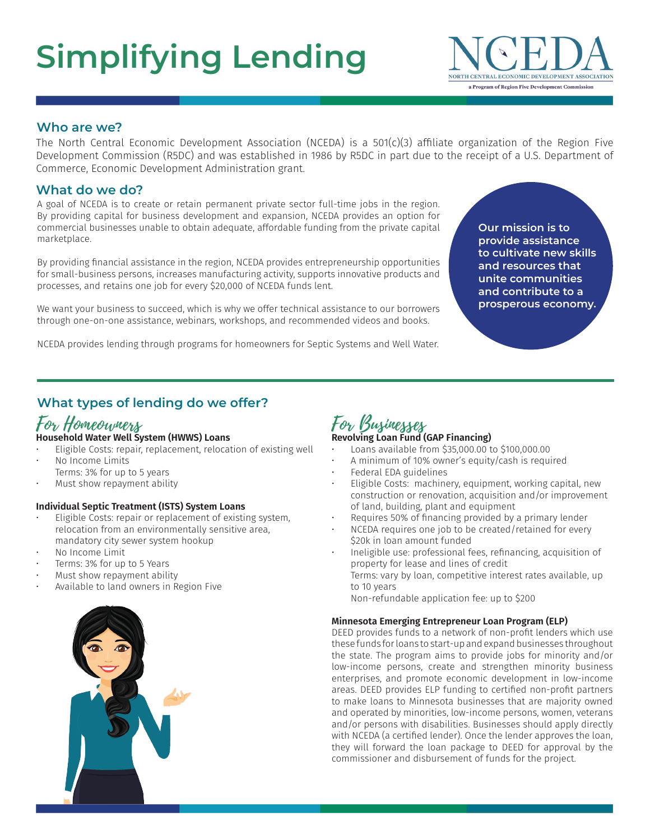# **Simplifying Lending**



**Our mission is to provide assistance to cultivate new skills and resources that unite communities and contribute to a prosperous economy.**

#### **Who are we?**

The North Central Economic Development Association (NCEDA) is a 501(c)(3) affiliate organization of the Region Five Development Commission (R5DC) and was established in 1986 by R5DC in part due to the receipt of a U.S. Department of Commerce, Economic Development Administration grant.

## **What do we do?**

A goal of NCEDA is to create or retain permanent private sector full-time jobs in the region. By providing capital for business development and expansion, NCEDA provides an option for commercial businesses unable to obtain adequate, affordable funding from the private capital marketplace.

By providing financial assistance in the region, NCEDA provides entrepreneurship opportunities for small-business persons, increases manufacturing activity, supports innovative products and processes, and retains one job for every \$20,000 of NCEDA funds lent.

We want your business to succeed, which is why we offer technical assistance to our borrowers through one-on-one assistance, webinars, workshops, and recommended videos and books.

NCEDA provides lending through programs for homeowners for Septic Systems and Well Water.

## **What types of lending do we offer?**

### For Homeowners **Household Water Well System (HWWS) Loans**

- Eligible Costs: repair, replacement, relocation of existing well • No Income Limits
- Terms: 3% for up to 5 years
- Must show repayment ability

#### **Individual Septic Treatment (ISTS) System Loans**

- Eligible Costs: repair or replacement of existing system, relocation from an environmentally sensitive area, mandatory city sewer system hookup
- No Income Limit
- Terms: 3% for up to 5 Years
- Must show repayment ability
- Available to land owners in Region Five



## For Businesses **Revolving Loan Fund (GAP Financing)**

- Loans available from \$35,000.00 to \$100,000.00
- A minimum of 10% owner's equity/cash is required
- Federal EDA guidelines
- Eligible Costs: machinery, equipment, working capital, new construction or renovation, acquisition and/or improvement of land, building, plant and equipment
- Requires 50% of financing provided by a primary lender
- NCEDA requires one job to be created/retained for every \$20k in loan amount funded
- Ineligible use: professional fees, refinancing, acquisition of property for lease and lines of credit Terms: vary by loan, competitive interest rates available, up to 10 years

Non-refundable application fee: up to \$200

#### **Minnesota Emerging Entrepreneur Loan Program (ELP)**

DEED provides funds to a network of non-profit lenders which use these funds for loans to start-up and expand businesses throughout the state. The program aims to provide jobs for minority and/or low-income persons, create and strengthen minority business enterprises, and promote economic development in low-income areas. DEED provides ELP funding to certified non-profit partners to make loans to Minnesota businesses that are majority owned and operated by minorities, low-income persons, women, veterans and/or persons with disabilities. Businesses should apply directly with NCEDA (a certified lender). Once the lender approves the loan, they will forward the loan package to DEED for approval by the commissioner and disbursement of funds for the project.